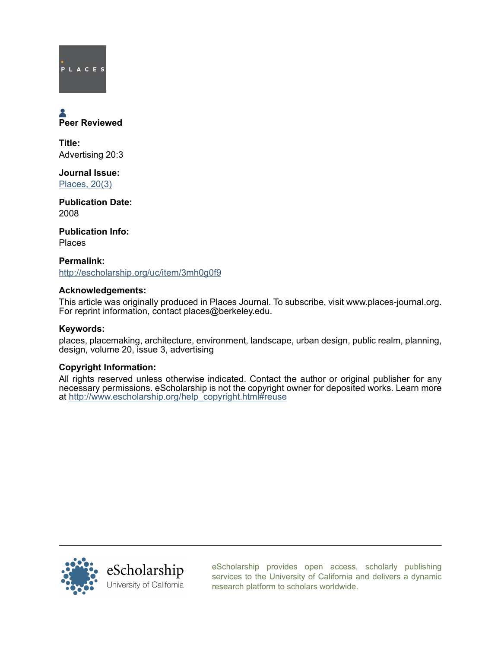# PLACES

# Peer Reviewed

Title: Advertising 20:3

Journal Issue: [Places, 20\(3\)](http://escholarship.org/uc/ced_places?volume=20;issue=3)

Publication Date: 2008

Publication Info: Places

Permalink: <http://escholarship.org/uc/item/3mh0g0f9>

## Acknowledgements:

This article was originally produced in Places Journal. To subscribe, visit www.places-journal.org. For reprint information, contact places@berkeley.edu.

### Keywords:

places, placemaking, architecture, environment, landscape, urban design, public realm, planning, design, volume 20, issue 3, advertising

### Copyright Information:

All rights reserved unless otherwise indicated. Contact the author or original publisher for any necessary permissions. eScholarship is not the copyright owner for deposited works. Learn more at [http://www.escholarship.org/help\\_copyright.html#reuse](http://www.escholarship.org/help_copyright.html#reuse)



[eScholarship provides open access, scholarly publishing](http://escholarship.org) [services to the University of California and delivers a dynamic](http://escholarship.org) [research platform to scholars worldwide.](http://escholarship.org)